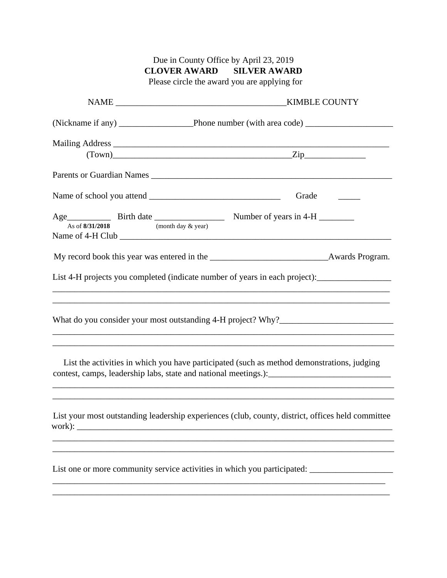| <b>CLOVER AWARD SILVER AWARD</b><br>Please circle the award you are applying for<br>$(Town)$ $Zip$<br>Parents or Guardian Names<br>Grade<br>As of 8/31/2018<br>(month day & year) |
|-----------------------------------------------------------------------------------------------------------------------------------------------------------------------------------|
|                                                                                                                                                                                   |
|                                                                                                                                                                                   |
|                                                                                                                                                                                   |
|                                                                                                                                                                                   |
|                                                                                                                                                                                   |
|                                                                                                                                                                                   |
|                                                                                                                                                                                   |
|                                                                                                                                                                                   |
|                                                                                                                                                                                   |
| List 4-H projects you completed (indicate number of years in each project):<br>,我们也不会有什么。""我们的人,我们也不会有什么?""我们的人,我们也不会有什么?""我们的人,我们也不会有什么?""我们的人,我们也不会有什么?""我们的人                   |
| What do you consider your most outstanding 4-H project? Why?_____________________                                                                                                 |
| List the activities in which you have participated (such as method demonstrations, judging                                                                                        |
| List your most outstanding leadership experiences (club, county, district, offices held committee<br>work): $\qquad \qquad$                                                       |
| List one or more community service activities in which you participated: ______________                                                                                           |